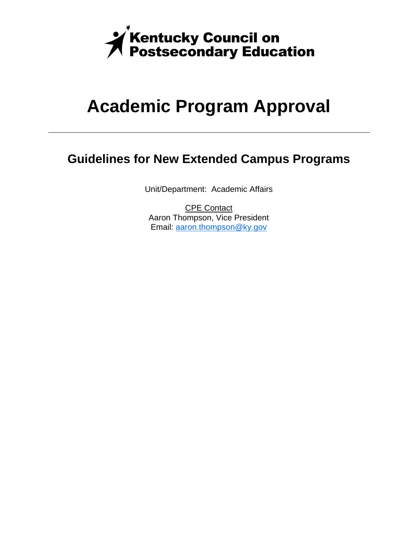

# **Academic Program Approval**

### **Guidelines for New Extended Campus Programs**

Unit/Department: Academic Affairs

CPE Contact Aaron Thompson, Vice President Email: aaron.thompson@ky.gov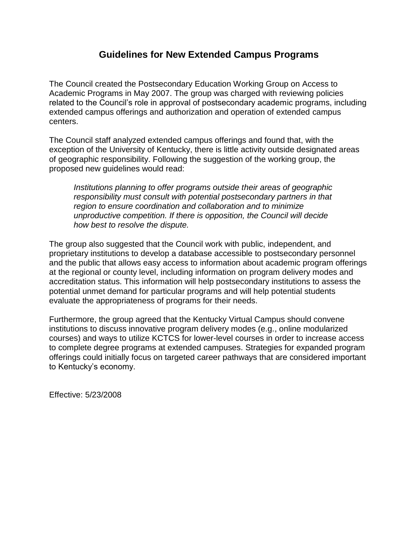#### **Guidelines for New Extended Campus Programs**

The Council created the Postsecondary Education Working Group on Access to Academic Programs in May 2007. The group was charged with reviewing policies related to the Council's role in approval of postsecondary academic programs, including extended campus offerings and authorization and operation of extended campus centers.

The Council staff analyzed extended campus offerings and found that, with the exception of the University of Kentucky, there is little activity outside designated areas of geographic responsibility. Following the suggestion of the working group, the proposed new guidelines would read:

*Institutions planning to offer programs outside their areas of geographic responsibility must consult with potential postsecondary partners in that region to ensure coordination and collaboration and to minimize unproductive competition. If there is opposition, the Council will decide how best to resolve the dispute.*

The group also suggested that the Council work with public, independent, and proprietary institutions to develop a database accessible to postsecondary personnel and the public that allows easy access to information about academic program offerings at the regional or county level, including information on program delivery modes and accreditation status. This information will help postsecondary institutions to assess the potential unmet demand for particular programs and will help potential students evaluate the appropriateness of programs for their needs.

Furthermore, the group agreed that the Kentucky Virtual Campus should convene institutions to discuss innovative program delivery modes (e.g., online modularized courses) and ways to utilize KCTCS for lower-level courses in order to increase access to complete degree programs at extended campuses. Strategies for expanded program offerings could initially focus on targeted career pathways that are considered important to Kentucky's economy.

Effective: 5/23/2008